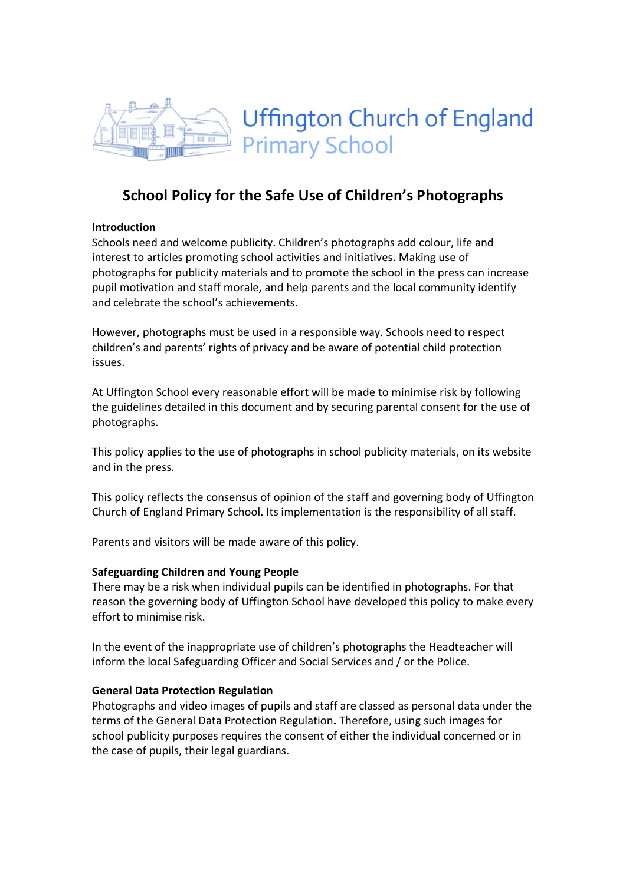

# School Policy for the Safe Use of Children's Photographs

### Introduction

Schools need and welcome publicity. Children's photographs add colour, life and interest to articles promoting school activities and initiatives. Making use of photographs for publicity materials and to promote the school in the press can increase pupil motivation and staff morale, and help parents and the local community identify and celebrate the school's achievements.

However, photographs must be used in a responsible way. Schools need to respect children's and parents' rights of privacy and be aware of potential child protection issues.

At Uffington School every reasonable effort will be made to minimise risk by following the guidelines detailed in this document and by securing parental consent for the use of photographs.

This policy applies to the use of photographs in school publicity materials, on its website and in the press.

This policy reflects the consensus of opinion of the staff and governing body of Uffington Church of England Primary School. Its implementation is the responsibility of all staff.

Parents and visitors will be made aware of this policy.

#### Safeguarding Children and Young People

There may be a risk when individual pupils can be identified in photographs. For that reason the governing body of Uffington School have developed this policy to make every effort to minimise risk.

In the event of the inappropriate use of children's photographs the Headteacher will inform the local Safeguarding Officer and Social Services and / or the Police.

#### General Data Protection Regulation

Photographs and video images of pupils and staff are classed as personal data under the terms of the General Data Protection Regulation. Therefore, using such images for school publicity purposes requires the consent of either the individual concerned or in the case of pupils, their legal guardians.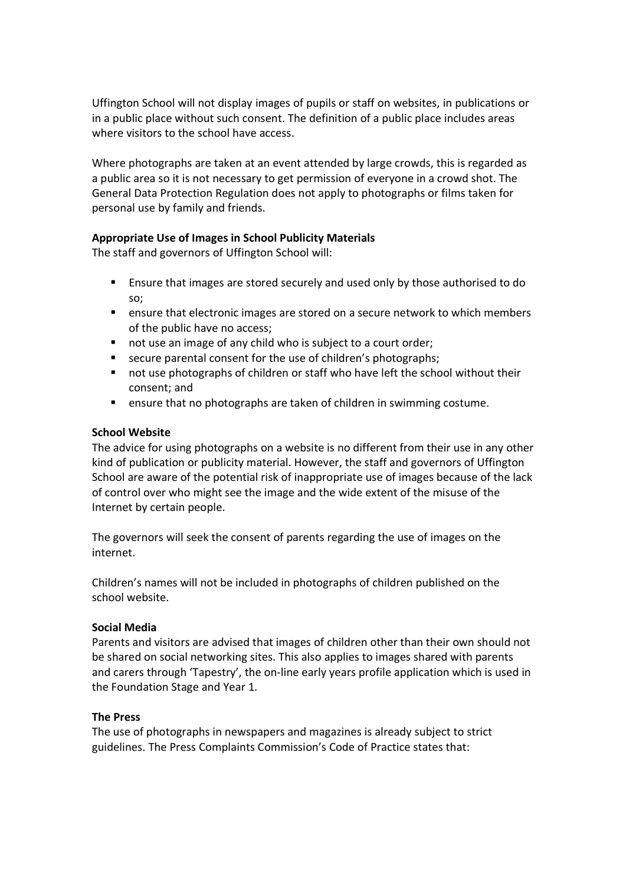Uffington School will not display images of pupils or staff on websites, in publications or in a public place without such consent. The definition of a public place includes areas where visitors to the school have access.

Where photographs are taken at an event attended by large crowds, this is regarded as a public area so it is not necessary to get permission of everyone in a crowd shot. The General Data Protection Regulation does not apply to photographs or films taken for personal use by family and friends.

## Appropriate Use of Images in School Publicity Materials

The staff and governors of Uffington School will:

- Ensure that images are stored securely and used only by those authorised to do so;
- ensure that electronic images are stored on a secure network to which members of the public have no access;
- not use an image of any child who is subject to a court order;
- secure parental consent for the use of children's photographs;
- not use photographs of children or staff who have left the school without their consent; and
- **E** ensure that no photographs are taken of children in swimming costume.

#### School Website

The advice for using photographs on a website is no different from their use in any other kind of publication or publicity material. However, the staff and governors of Uffington School are aware of the potential risk of inappropriate use of images because of the lack of control over who might see the image and the wide extent of the misuse of the Internet by certain people.

The governors will seek the consent of parents regarding the use of images on the internet.

Children's names will not be included in photographs of children published on the school website.

#### Social Media

Parents and visitors are advised that images of children other than their own should not be shared on social networking sites. This also applies to images shared with parents and carers through 'Tapestry', the on-line early years profile application which is used in the Foundation Stage and Year 1.

#### The Press

The use of photographs in newspapers and magazines is already subject to strict guidelines. The Press Complaints Commission's Code of Practice states that: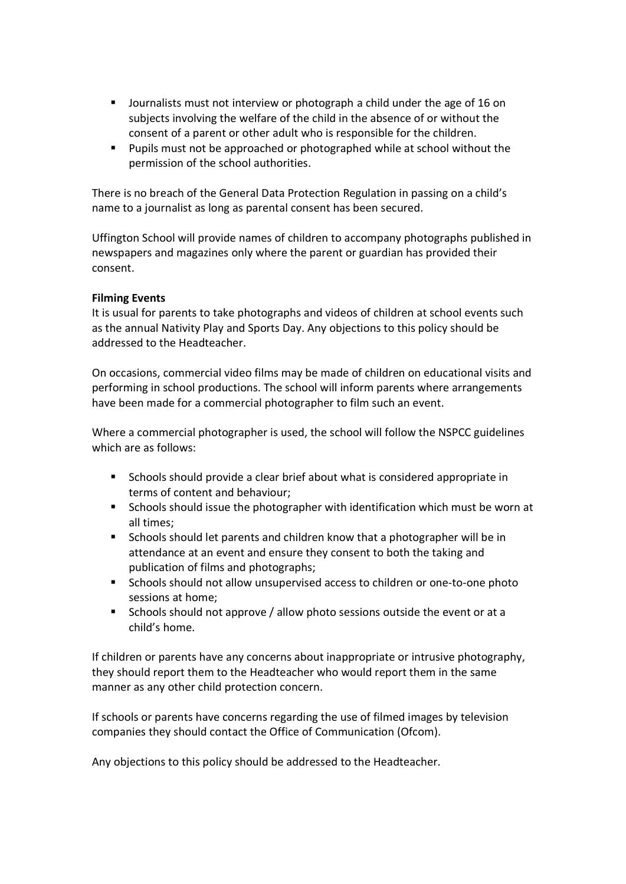- Journalists must not interview or photograph a child under the age of 16 on subjects involving the welfare of the child in the absence of or without the consent of a parent or other adult who is responsible for the children.
- **Pupils must not be approached or photographed while at school without the** permission of the school authorities.

There is no breach of the General Data Protection Regulation in passing on a child's name to a journalist as long as parental consent has been secured.

Uffington School will provide names of children to accompany photographs published in newspapers and magazines only where the parent or guardian has provided their consent.

#### Filming Events

It is usual for parents to take photographs and videos of children at school events such as the annual Nativity Play and Sports Day. Any objections to this policy should be addressed to the Headteacher.

On occasions, commercial video films may be made of children on educational visits and performing in school productions. The school will inform parents where arrangements have been made for a commercial photographer to film such an event.

Where a commercial photographer is used, the school will follow the NSPCC guidelines which are as follows:

- Schools should provide a clear brief about what is considered appropriate in terms of content and behaviour;
- Schools should issue the photographer with identification which must be worn at all times;
- **Schools should let parents and children know that a photographer will be in** attendance at an event and ensure they consent to both the taking and publication of films and photographs;
- Schools should not allow unsupervised access to children or one-to-one photo sessions at home;
- Schools should not approve / allow photo sessions outside the event or at a child's home.

If children or parents have any concerns about inappropriate or intrusive photography, they should report them to the Headteacher who would report them in the same manner as any other child protection concern.

If schools or parents have concerns regarding the use of filmed images by television companies they should contact the Office of Communication (Ofcom).

Any objections to this policy should be addressed to the Headteacher.